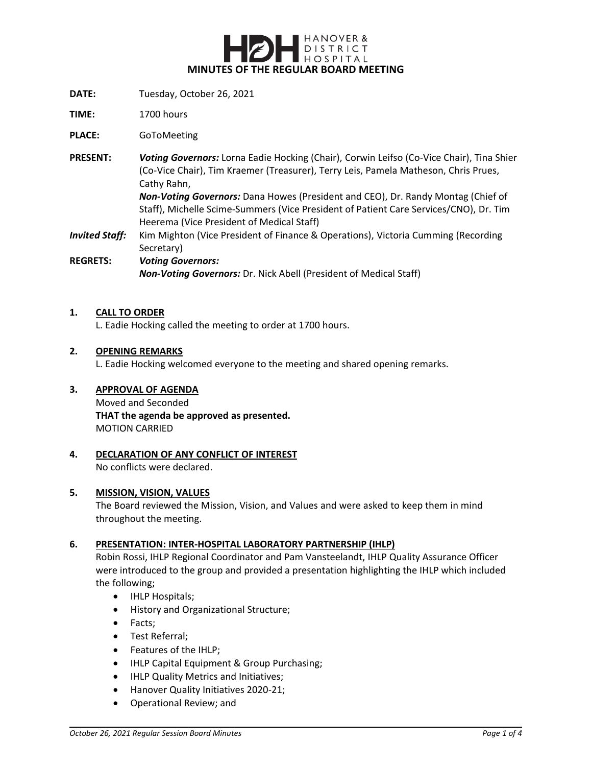

- **DATE:** Tuesday, October 26, 2021
- **TIME:** 1700 hours

**PLACE:** GoToMeeting

- **PRESENT:** *Voting Governors:* Lorna Eadie Hocking (Chair), Corwin Leifso (Co-Vice Chair), Tina Shier (Co-Vice Chair), Tim Kraemer (Treasurer), Terry Leis, Pamela Matheson, Chris Prues, Cathy Rahn, *Non-Voting Governors:* Dana Howes (President and CEO), Dr. Randy Montag (Chief of Staff), Michelle Scime-Summers (Vice President of Patient Care Services/CNO), Dr. Tim Heerema (Vice President of Medical Staff)
- *Invited Staff:* Kim Mighton (Vice President of Finance & Operations), Victoria Cumming (Recording Secretary)
- **REGRETS:** *Voting Governors: Non-Voting Governors:* Dr. Nick Abell (President of Medical Staff)

#### **1. CALL TO ORDER**

L. Eadie Hocking called the meeting to order at 1700 hours.

#### **2. OPENING REMARKS**

L. Eadie Hocking welcomed everyone to the meeting and shared opening remarks.

#### **3. APPROVAL OF AGENDA**

Moved and Seconded **THAT the agenda be approved as presented.** MOTION CARRIED

**4. DECLARATION OF ANY CONFLICT OF INTEREST** No conflicts were declared.

#### **5. MISSION, VISION, VALUES**

The Board reviewed the Mission, Vision, and Values and were asked to keep them in mind throughout the meeting.

#### **6. PRESENTATION: INTER-HOSPITAL LABORATORY PARTNERSHIP (IHLP)**

Robin Rossi, IHLP Regional Coordinator and Pam Vansteelandt, IHLP Quality Assurance Officer were introduced to the group and provided a presentation highlighting the IHLP which included the following;

- IHLP Hospitals;
- History and Organizational Structure;
- Facts;
- Test Referral;
- Features of the IHLP;
- IHLP Capital Equipment & Group Purchasing;
- IHLP Quality Metrics and Initiatives;
- Hanover Quality Initiatives 2020-21;
- Operational Review; and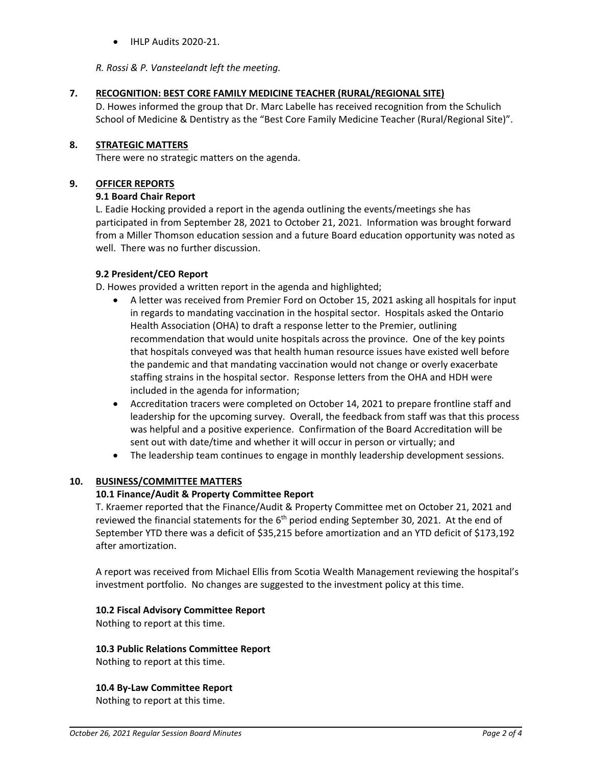• IHLP Audits 2020-21.

*R. Rossi & P. Vansteelandt left the meeting.*

# **7. RECOGNITION: BEST CORE FAMILY MEDICINE TEACHER (RURAL/REGIONAL SITE)**

D. Howes informed the group that Dr. Marc Labelle has received recognition from the Schulich School of Medicine & Dentistry as the "Best Core Family Medicine Teacher (Rural/Regional Site)".

# **8. STRATEGIC MATTERS**

There were no strategic matters on the agenda.

## **9. OFFICER REPORTS**

## **9.1 Board Chair Report**

L. Eadie Hocking provided a report in the agenda outlining the events/meetings she has participated in from September 28, 2021 to October 21, 2021. Information was brought forward from a Miller Thomson education session and a future Board education opportunity was noted as well. There was no further discussion.

# **9.2 President/CEO Report**

D. Howes provided a written report in the agenda and highlighted;

- A letter was received from Premier Ford on October 15, 2021 asking all hospitals for input in regards to mandating vaccination in the hospital sector. Hospitals asked the Ontario Health Association (OHA) to draft a response letter to the Premier, outlining recommendation that would unite hospitals across the province. One of the key points that hospitals conveyed was that health human resource issues have existed well before the pandemic and that mandating vaccination would not change or overly exacerbate staffing strains in the hospital sector. Response letters from the OHA and HDH were included in the agenda for information;
- Accreditation tracers were completed on October 14, 2021 to prepare frontline staff and leadership for the upcoming survey. Overall, the feedback from staff was that this process was helpful and a positive experience. Confirmation of the Board Accreditation will be sent out with date/time and whether it will occur in person or virtually; and
- The leadership team continues to engage in monthly leadership development sessions.

# **10. BUSINESS/COMMITTEE MATTERS**

# **10.1 Finance/Audit & Property Committee Report**

T. Kraemer reported that the Finance/Audit & Property Committee met on October 21, 2021 and reviewed the financial statements for the  $6<sup>th</sup>$  period ending September 30, 2021. At the end of September YTD there was a deficit of \$35,215 before amortization and an YTD deficit of \$173,192 after amortization.

A report was received from Michael Ellis from Scotia Wealth Management reviewing the hospital's investment portfolio. No changes are suggested to the investment policy at this time.

## **10.2 Fiscal Advisory Committee Report**

Nothing to report at this time.

**10.3 Public Relations Committee Report**

Nothing to report at this time.

**10.4 By-Law Committee Report**

Nothing to report at this time.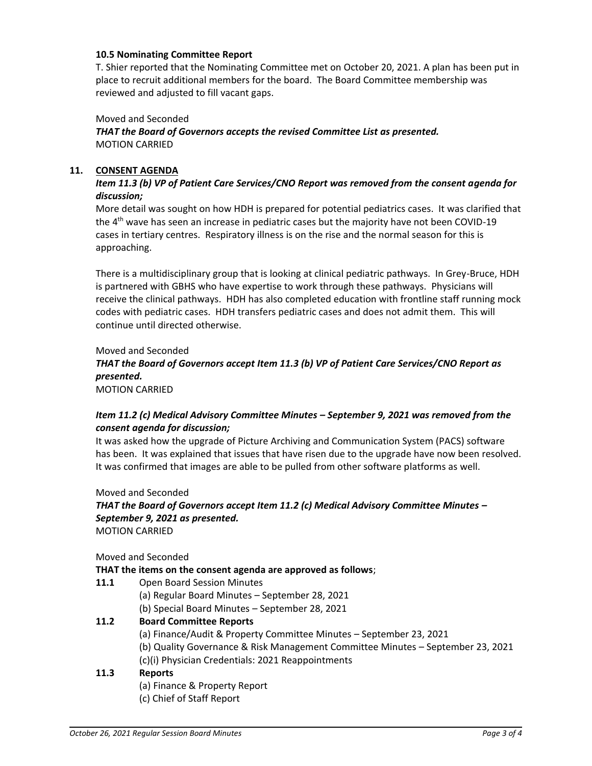## **10.5 Nominating Committee Report**

T. Shier reported that the Nominating Committee met on October 20, 2021. A plan has been put in place to recruit additional members for the board. The Board Committee membership was reviewed and adjusted to fill vacant gaps.

Moved and Seconded

*THAT the Board of Governors accepts the revised Committee List as presented.* MOTION CARRIED

## **11. CONSENT AGENDA**

# *Item 11.3 (b) VP of Patient Care Services/CNO Report was removed from the consent agenda for discussion;*

More detail was sought on how HDH is prepared for potential pediatrics cases. It was clarified that the 4<sup>th</sup> wave has seen an increase in pediatric cases but the majority have not been COVID-19 cases in tertiary centres. Respiratory illness is on the rise and the normal season for this is approaching.

There is a multidisciplinary group that is looking at clinical pediatric pathways. In Grey-Bruce, HDH is partnered with GBHS who have expertise to work through these pathways. Physicians will receive the clinical pathways. HDH has also completed education with frontline staff running mock codes with pediatric cases. HDH transfers pediatric cases and does not admit them. This will continue until directed otherwise.

Moved and Seconded *THAT the Board of Governors accept Item 11.3 (b) VP of Patient Care Services/CNO Report as presented.* MOTION CARRIED

# *Item 11.2 (c) Medical Advisory Committee Minutes – September 9, 2021 was removed from the consent agenda for discussion;*

It was asked how the upgrade of Picture Archiving and Communication System (PACS) software has been. It was explained that issues that have risen due to the upgrade have now been resolved. It was confirmed that images are able to be pulled from other software platforms as well.

Moved and Seconded *THAT the Board of Governors accept Item 11.2 (c) Medical Advisory Committee Minutes – September 9, 2021 as presented.* MOTION CARRIED

Moved and Seconded

## **THAT the items on the consent agenda are approved as follows**;

**11.1** Open Board Session Minutes

(a) Regular Board Minutes – September 28, 2021

(b) Special Board Minutes – September 28, 2021

## **11.2 Board Committee Reports**

- (a) Finance/Audit & Property Committee Minutes September 23, 2021
- (b) Quality Governance & Risk Management Committee Minutes September 23, 2021
- (c)(i) Physician Credentials: 2021 Reappointments

## **11.3 Reports**

- (a) Finance & Property Report
- (c) Chief of Staff Report